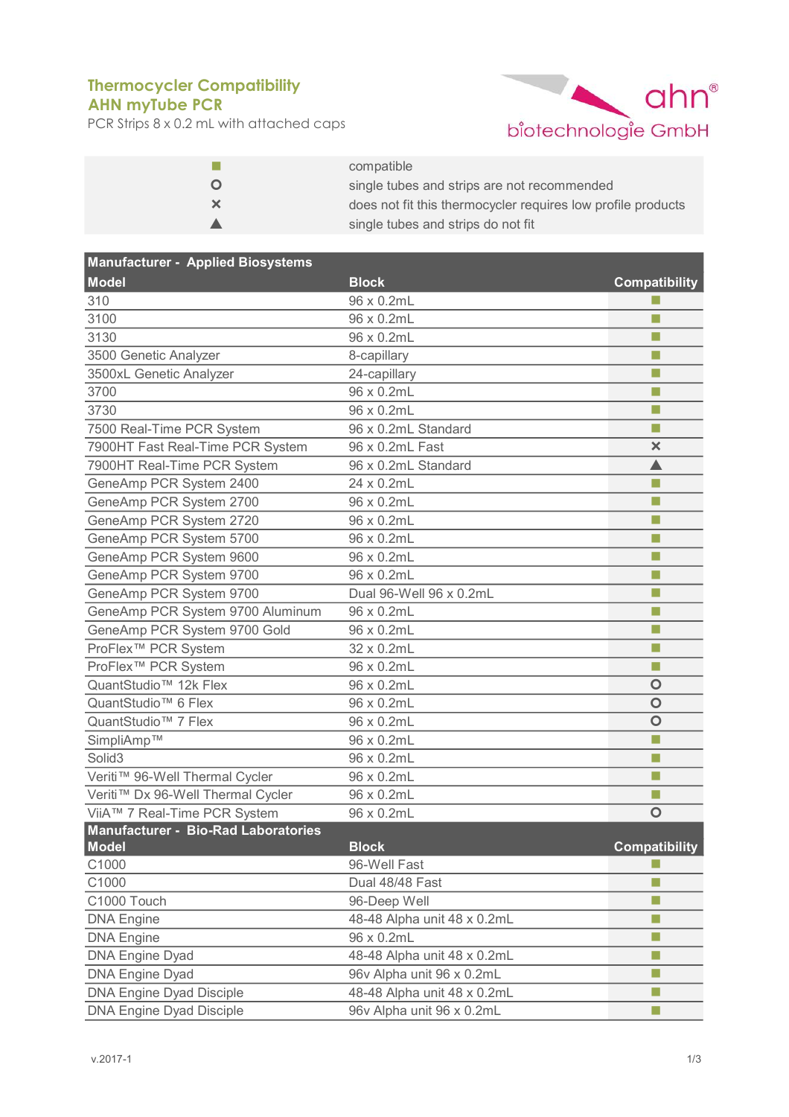## **AHN myTube PCR Thermocycler Compatibility**

PCR Strips 8 x 0.2 mL with attached caps



|   | compatible                                                   |
|---|--------------------------------------------------------------|
|   | single tubes and strips are not recommended                  |
| × | does not fit this thermocycler requires low profile products |
|   | single tubes and strips do not fit                           |

| <b>Manufacturer - Applied Biosystems</b>   |                             |                      |
|--------------------------------------------|-----------------------------|----------------------|
| Model                                      | <b>Block</b>                | <b>Compatibility</b> |
| 310                                        | 96 x 0.2mL                  | m.                   |
| 3100                                       | 96 x 0.2mL                  | П                    |
| 3130                                       | 96 x 0.2mL                  | п                    |
| 3500 Genetic Analyzer                      | 8-capillary                 | П                    |
| 3500xL Genetic Analyzer                    | 24-capillary                | ш                    |
| 3700                                       | 96 x 0.2mL                  | ш                    |
| 3730                                       | 96 x 0.2mL                  | П                    |
| 7500 Real-Time PCR System                  | 96 x 0.2mL Standard         | п                    |
| 7900HT Fast Real-Time PCR System           | 96 x 0.2mL Fast             | $\pmb{\times}$       |
| 7900HT Real-Time PCR System                | 96 x 0.2mL Standard         |                      |
| GeneAmp PCR System 2400                    | 24 x 0.2mL                  | m.                   |
| GeneAmp PCR System 2700                    | 96 x 0.2mL                  | ш                    |
| GeneAmp PCR System 2720                    | 96 x 0.2mL                  | m.                   |
| GeneAmp PCR System 5700                    | 96 x 0.2mL                  | п                    |
| GeneAmp PCR System 9600                    | 96 x 0.2mL                  | П                    |
| GeneAmp PCR System 9700                    | 96 x 0.2mL                  | п                    |
| GeneAmp PCR System 9700                    | Dual 96-Well 96 x 0.2mL     | П                    |
| GeneAmp PCR System 9700 Aluminum           | 96 x 0.2mL                  | п                    |
| GeneAmp PCR System 9700 Gold               | 96 x 0.2mL                  | ш                    |
| ProFlex <sup>™</sup> PCR System            | 32 x 0.2mL                  | п                    |
| ProFlex <sup>™</sup> PCR System            | 96 x 0.2mL                  | п                    |
| QuantStudio <sup>™</sup> 12k Flex          | 96 x 0.2mL                  | $\bullet$            |
| QuantStudio <sup>™</sup> 6 Flex            | 96 x 0.2mL                  | $\bullet$            |
| QuantStudio <sup>™</sup> 7 Flex            | 96 x 0.2mL                  | $\bullet$            |
| SimpliAmp™                                 | 96 x 0.2mL                  |                      |
| Solid <sub>3</sub>                         | 96 x 0.2mL                  | п                    |
| Veriti™ 96-Well Thermal Cycler             | 96 x 0.2mL                  | П                    |
| Veriti™ Dx 96-Well Thermal Cycler          | 96 x 0.2mL                  | п                    |
| ViiA™ 7 Real-Time PCR System               | 96 x 0.2mL                  | $\bullet$            |
| <b>Manufacturer - Bio-Rad Laboratories</b> |                             |                      |
| Model                                      | <b>Block</b>                | <b>Compatibility</b> |
| C1000                                      | 96-Well Fast                |                      |
| C1000                                      | Dual 48/48 Fast             | П                    |
| C1000 Touch                                | 96-Deep Well                | m.                   |
| <b>DNA Engine</b>                          | 48-48 Alpha unit 48 x 0.2mL | п                    |
| <b>DNA Engine</b>                          | 96 x 0.2mL                  | п                    |
| DNA Engine Dyad                            | 48-48 Alpha unit 48 x 0.2mL | ш                    |
| <b>DNA Engine Dyad</b>                     | 96v Alpha unit 96 x 0.2mL   | П                    |
| <b>DNA Engine Dyad Disciple</b>            | 48-48 Alpha unit 48 x 0.2mL | <b>Tale</b>          |
| <b>DNA Engine Dyad Disciple</b>            | 96v Alpha unit 96 x 0.2mL   | ш                    |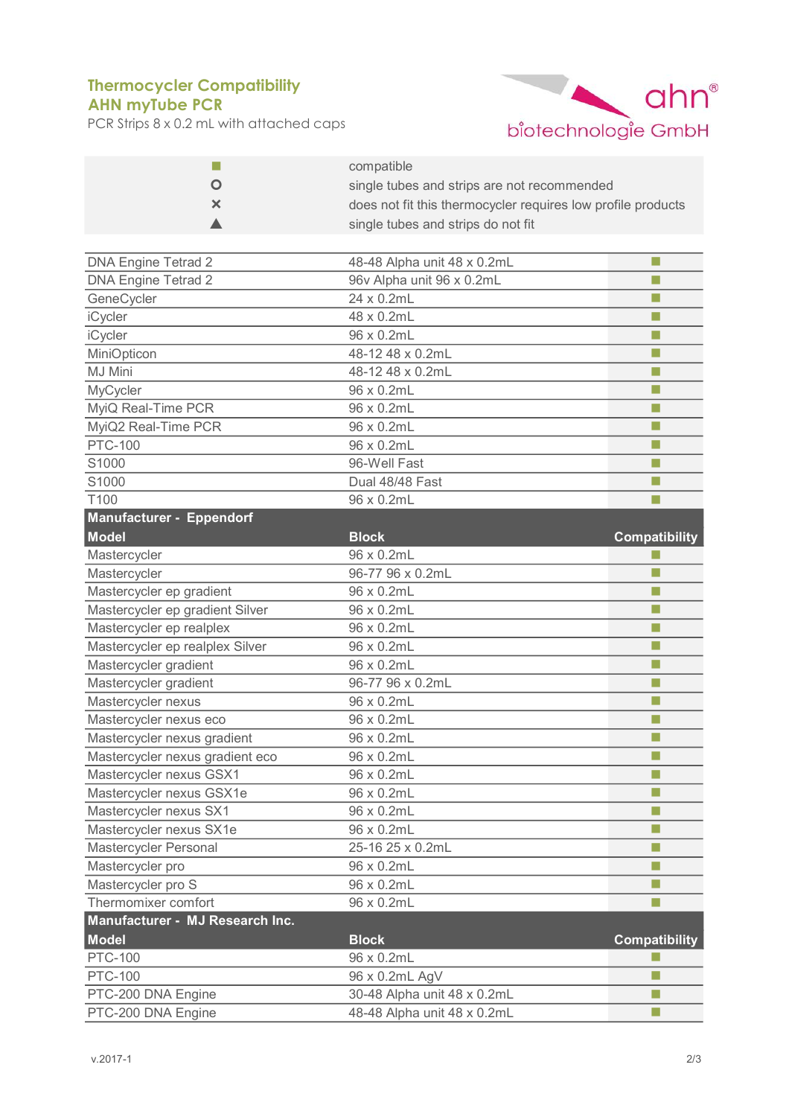## **AHN myTube PCR Thermocycler Compatibility**

PCR Strips 8 x 0.2 mL with attached caps



|                                 | compatible                                                   |                      |
|---------------------------------|--------------------------------------------------------------|----------------------|
| O                               | single tubes and strips are not recommended                  |                      |
| ×                               | does not fit this thermocycler requires low profile products |                      |
|                                 | single tubes and strips do not fit                           |                      |
|                                 |                                                              |                      |
| <b>DNA Engine Tetrad 2</b>      | 48-48 Alpha unit 48 x 0.2mL                                  | п                    |
| <b>DNA Engine Tetrad 2</b>      | 96v Alpha unit 96 x 0.2mL                                    | F.                   |
| GeneCycler                      | 24 x 0.2mL                                                   | H                    |
| iCycler                         | 48 x 0.2mL                                                   | п                    |
| iCycler                         | 96 x 0.2mL                                                   | m.                   |
| MiniOpticon                     | 48-12 48 x 0.2mL                                             | F.                   |
| <b>MJ Mini</b>                  | 48-12 48 x 0.2mL                                             | H                    |
| MyCycler                        | 96 x 0.2mL                                                   | T.                   |
| MyiQ Real-Time PCR              | 96 x 0.2mL                                                   | F.                   |
| MyiQ2 Real-Time PCR             | 96 x 0.2mL                                                   | H                    |
| <b>PTC-100</b>                  | 96 x 0.2mL                                                   | F.                   |
| S1000                           | 96-Well Fast                                                 | F.                   |
| S1000                           | Dual 48/48 Fast                                              |                      |
| T100                            | 96 x 0.2mL                                                   |                      |
| Manufacturer - Eppendorf        |                                                              |                      |
| Model                           | <b>Block</b>                                                 | <b>Compatibility</b> |
| Mastercycler                    | 96 x 0.2mL                                                   |                      |
| Mastercycler                    | 96-77 96 x 0.2mL                                             | F.                   |
| Mastercycler ep gradient        | 96 x 0.2mL                                                   | F.                   |
| Mastercycler ep gradient Silver | 96 x 0.2mL                                                   | H                    |
| Mastercycler ep realplex        | 96 x 0.2mL                                                   | F.                   |
| Mastercycler ep realplex Silver | 96 x 0.2mL                                                   | T.                   |
| Mastercycler gradient           | 96 x 0.2mL                                                   | П                    |
| Mastercycler gradient           | 96-77 96 x 0.2mL                                             | п                    |
| Mastercycler nexus              | 96 x 0.2mL                                                   | П                    |
| Mastercycler nexus eco          | 96 x 0.2mL                                                   |                      |
| Mastercycler nexus gradient     | 96 x 0.2mL                                                   | H.                   |
| Mastercycler nexus gradient eco | 96 x 0.2mL                                                   | H                    |
| Mastercycler nexus GSX1         | 96 x 0.2mL                                                   |                      |
| Mastercycler nexus GSX1e        | 96 x 0.2mL                                                   | H                    |
| Mastercycler nexus SX1          | 96 x 0.2mL                                                   | n.                   |
| Mastercycler nexus SX1e         | 96 x 0.2mL                                                   | m.                   |
| Mastercycler Personal           | 25-16 25 x 0.2mL                                             |                      |
| Mastercycler pro                | 96 x 0.2mL                                                   | п                    |
| Mastercycler pro S              | 96 x 0.2mL                                                   | m.                   |
| Thermomixer comfort             | 96 x 0.2mL                                                   |                      |
| Manufacturer - MJ Research Inc. |                                                              |                      |
| Model                           | <b>Block</b>                                                 | <b>Compatibility</b> |
| <b>PTC-100</b>                  | 96 x 0.2mL                                                   |                      |
| <b>PTC-100</b>                  | 96 x 0.2mL AgV                                               | F.                   |
| PTC-200 DNA Engine              | 30-48 Alpha unit 48 x 0.2mL                                  | П                    |
| PTC-200 DNA Engine              | 48-48 Alpha unit 48 x 0.2mL                                  | m.                   |